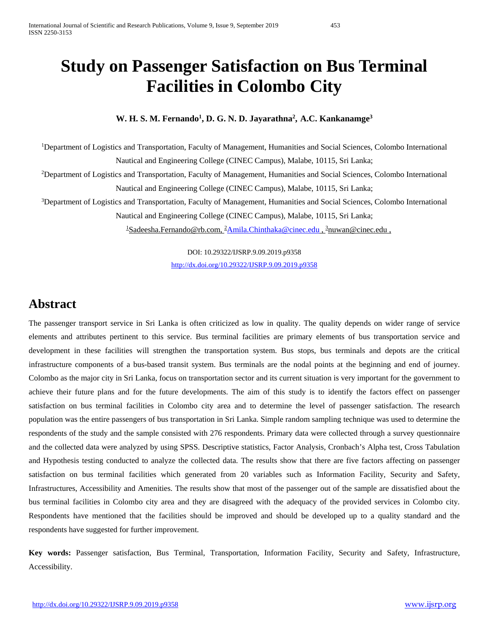# **Study on Passenger Satisfaction on Bus Terminal Facilities in Colombo City**

# **W. H. S. M. Fernando1 , D. G. N. D. Jayarathna2 , A.C. Kankanamge3**

<sup>1</sup>Department of Logistics and Transportation, Faculty of Management, Humanities and Social Sciences, Colombo International Nautical and Engineering College (CINEC Campus), Malabe, 10115, Sri Lanka;

<sup>2</sup>Department of Logistics and Transportation, Faculty of Management, Humanities and Social Sciences, Colombo International Nautical and Engineering College (CINEC Campus), Malabe, 10115, Sri Lanka;

<sup>3</sup>Department of Logistics and Transportation, Faculty of Management, Humanities and Social Sciences, Colombo International Nautical and Engineering College (CINEC Campus), Malabe, 10115, Sri Lanka;

<sup>1</sup>[Sadeesha.Fernando@rb.com,](mailto:1Sadeesha.Fernando@rb.com) <sup>2</sup>[Amila.Chinthaka@cinec.edu](mailto:Amila.Chinthaka@cinec.edu) , <sup>3</sup>[nuwan@cinec.edu](mailto:nuwan@cinec.edu) ,

DOI: 10.29322/IJSRP.9.09.2019.p9358 <http://dx.doi.org/10.29322/IJSRP.9.09.2019.p9358>

# **Abstract**

The passenger transport service in Sri Lanka is often criticized as low in quality. The quality depends on wider range of service elements and attributes pertinent to this service. Bus terminal facilities are primary elements of bus transportation service and development in these facilities will strengthen the transportation system. Bus stops, bus terminals and depots are the critical infrastructure components of a bus-based transit system. Bus terminals are the nodal points at the beginning and end of journey. Colombo as the major city in Sri Lanka, focus on transportation sector and its current situation is very important for the government to achieve their future plans and for the future developments. The aim of this study is to identify the factors effect on passenger satisfaction on bus terminal facilities in Colombo city area and to determine the level of passenger satisfaction. The research population was the entire passengers of bus transportation in Sri Lanka. Simple random sampling technique was used to determine the respondents of the study and the sample consisted with 276 respondents. Primary data were collected through a survey questionnaire and the collected data were analyzed by using SPSS. Descriptive statistics, Factor Analysis, Cronbach's Alpha test, Cross Tabulation and Hypothesis testing conducted to analyze the collected data. The results show that there are five factors affecting on passenger satisfaction on bus terminal facilities which generated from 20 variables such as Information Facility, Security and Safety, Infrastructures, Accessibility and Amenities. The results show that most of the passenger out of the sample are dissatisfied about the bus terminal facilities in Colombo city area and they are disagreed with the adequacy of the provided services in Colombo city. Respondents have mentioned that the facilities should be improved and should be developed up to a quality standard and the respondents have suggested for further improvement.

**Key words:** Passenger satisfaction, Bus Terminal, Transportation, Information Facility, Security and Safety, Infrastructure, Accessibility.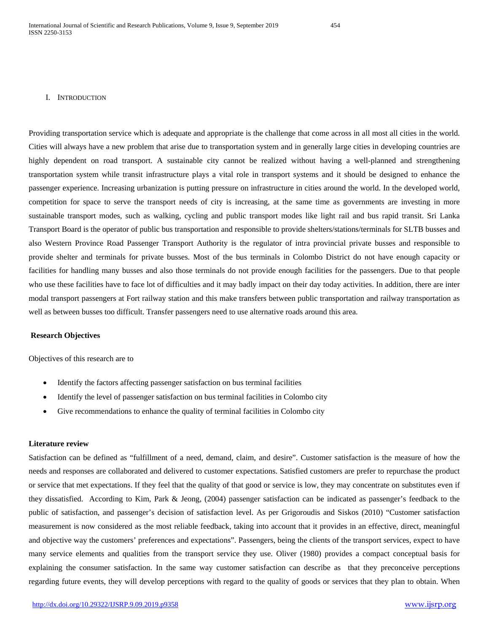#### I. INTRODUCTION

Providing transportation service which is adequate and appropriate is the challenge that come across in all most all cities in the world. Cities will always have a new problem that arise due to transportation system and in generally large cities in developing countries are highly dependent on road transport. A sustainable city cannot be realized without having a well-planned and strengthening transportation system while transit infrastructure plays a vital role in transport systems and it should be designed to enhance the passenger experience. Increasing urbanization is putting pressure on infrastructure in cities around the world. In the developed world, competition for space to serve the transport needs of city is increasing, at the same time as governments are investing in more sustainable transport modes, such as walking, cycling and public transport modes like light rail and bus rapid transit. Sri Lanka Transport Board is the operator of public bus transportation and responsible to provide shelters/stations/terminals for SLTB busses and also Western Province Road Passenger Transport Authority is the regulator of intra provincial private busses and responsible to provide shelter and terminals for private busses. Most of the bus terminals in Colombo District do not have enough capacity or facilities for handling many busses and also those terminals do not provide enough facilities for the passengers. Due to that people who use these facilities have to face lot of difficulties and it may badly impact on their day today activities. In addition, there are inter modal transport passengers at Fort railway station and this make transfers between public transportation and railway transportation as well as between busses too difficult. Transfer passengers need to use alternative roads around this area.

#### **Research Objectives**

Objectives of this research are to

- Identify the factors affecting passenger satisfaction on bus terminal facilities
- Identify the level of passenger satisfaction on bus terminal facilities in Colombo city
- Give recommendations to enhance the quality of terminal facilities in Colombo city

# **Literature review**

Satisfaction can be defined as "fulfillment of a need, demand, claim, and desire". Customer satisfaction is the measure of how the needs and responses are collaborated and delivered to customer expectations. Satisfied customers are prefer to repurchase the product or service that met expectations. If they feel that the quality of that good or service is low, they may concentrate on substitutes even if they dissatisfied. According to Kim, Park & Jeong, (2004) passenger satisfaction can be indicated as passenger's feedback to the public of satisfaction, and passenger's decision of satisfaction level. As per Grigoroudis and Siskos (2010) "Customer satisfaction measurement is now considered as the most reliable feedback, taking into account that it provides in an effective, direct, meaningful and objective way the customers' preferences and expectations". Passengers, being the clients of the transport services, expect to have many service elements and qualities from the transport service they use. Oliver (1980) provides a compact conceptual basis for explaining the consumer satisfaction. In the same way customer satisfaction can describe as that they preconceive perceptions regarding future events, they will develop perceptions with regard to the quality of goods or services that they plan to obtain. When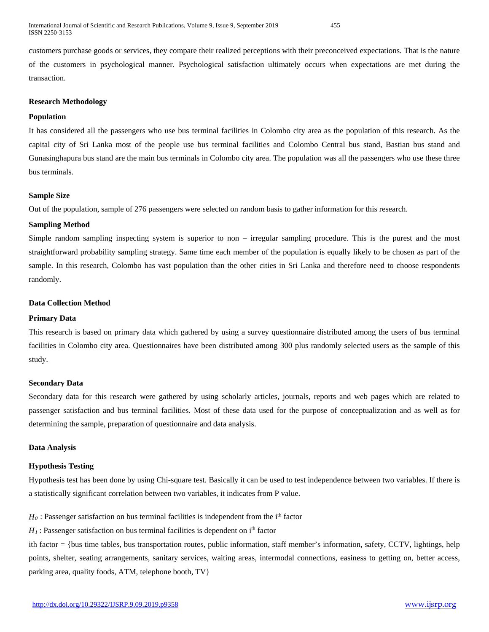customers purchase goods or services, they compare their realized perceptions with their preconceived expectations. That is the nature of the customers in psychological manner. Psychological satisfaction ultimately occurs when expectations are met during the transaction.

### **Research Methodology**

# **Population**

It has considered all the passengers who use bus terminal facilities in Colombo city area as the population of this research. As the capital city of Sri Lanka most of the people use bus terminal facilities and Colombo Central bus stand, Bastian bus stand and Gunasinghapura bus stand are the main bus terminals in Colombo city area. The population was all the passengers who use these three bus terminals.

## **Sample Size**

Out of the population, sample of 276 passengers were selected on random basis to gather information for this research.

## **Sampling Method**

Simple random sampling inspecting system is superior to non – irregular sampling procedure. This is the purest and the most straightforward probability sampling strategy. Same time each member of the population is equally likely to be chosen as part of the sample. In this research, Colombo has vast population than the other cities in Sri Lanka and therefore need to choose respondents randomly.

### **Data Collection Method**

#### **Primary Data**

This research is based on primary data which gathered by using a survey questionnaire distributed among the users of bus terminal facilities in Colombo city area. Questionnaires have been distributed among 300 plus randomly selected users as the sample of this study.

#### **Secondary Data**

Secondary data for this research were gathered by using scholarly articles, journals, reports and web pages which are related to passenger satisfaction and bus terminal facilities. Most of these data used for the purpose of conceptualization and as well as for determining the sample, preparation of questionnaire and data analysis.

#### **Data Analysis**

#### **Hypothesis Testing**

Hypothesis test has been done by using Chi-square test. Basically it can be used to test independence between two variables. If there is a statistically significant correlation between two variables, it indicates from P value.

 $H_0$ : Passenger satisfaction on bus terminal facilities is independent from the i<sup>th</sup> factor

 $H_1$ : Passenger satisfaction on bus terminal facilities is dependent on i<sup>th</sup> factor

ith factor = {bus time tables, bus transportation routes, public information, staff member's information, safety, CCTV, lightings, help points, shelter, seating arrangements, sanitary services, waiting areas, intermodal connections, easiness to getting on, better access, parking area, quality foods, ATM, telephone booth, TV}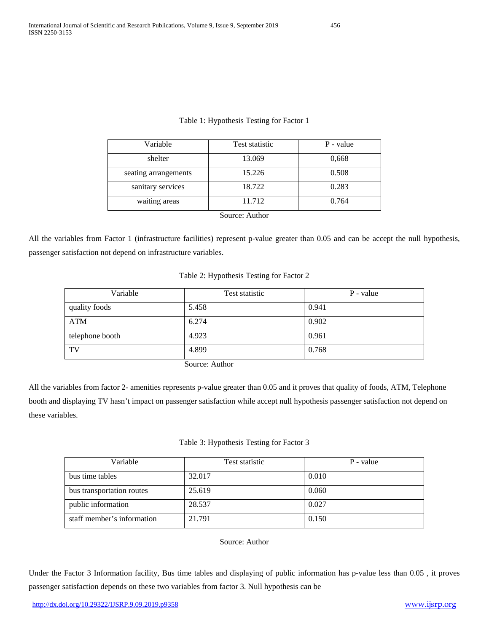| Variable             | Test statistic | P - value |
|----------------------|----------------|-----------|
| shelter              | 13.069         | 0,668     |
| seating arrangements | 15.226         | 0.508     |
| sanitary services    | 18.722         | 0.283     |
| waiting areas        | 11.712         | 0.764     |
|                      | Source: Author |           |

# Table 1: Hypothesis Testing for Factor 1

All the variables from Factor 1 (infrastructure facilities) represent p-value greater than 0.05 and can be accept the null hypothesis, passenger satisfaction not depend on infrastructure variables.

# Table 2: Hypothesis Testing for Factor 2

| Variable        | Test statistic                            | P - value |
|-----------------|-------------------------------------------|-----------|
| quality foods   | 5.458                                     | 0.941     |
| <b>ATM</b>      | 6.274                                     | 0.902     |
| telephone booth | 4.923                                     | 0.961     |
| TV              | 4.899                                     | 0.768     |
|                 | $\sim$ $\sim$ $\sim$ $\sim$ $\sim$ $\sim$ |           |

Source: Author

All the variables from factor 2- amenities represents p-value greater than 0.05 and it proves that quality of foods, ATM, Telephone booth and displaying TV hasn't impact on passenger satisfaction while accept null hypothesis passenger satisfaction not depend on these variables.

# Table 3: Hypothesis Testing for Factor 3

| Variable                   | Test statistic | P - value |
|----------------------------|----------------|-----------|
| bus time tables            | 32.017         | 0.010     |
| bus transportation routes  | 25.619         | 0.060     |
| public information         | 28.537         | 0.027     |
| staff member's information | 21.791         | 0.150     |

# Source: Author

Under the Factor 3 Information facility, Bus time tables and displaying of public information has p-value less than 0.05 , it proves passenger satisfaction depends on these two variables from factor 3. Null hypothesis can be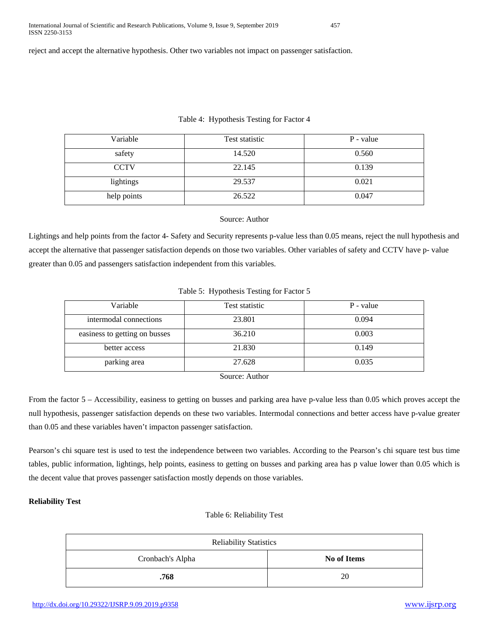reject and accept the alternative hypothesis. Other two variables not impact on passenger satisfaction.

# Table 4: Hypothesis Testing for Factor 4

| Variable    | Test statistic | P - value |
|-------------|----------------|-----------|
| safety      | 14.520         | 0.560     |
| <b>CCTV</b> | 22.145         | 0.139     |
| lightings   | 29.537         | 0.021     |
| help points | 26.522         | 0.047     |

# Source: Author

Lightings and help points from the factor 4- Safety and Security represents p-value less than 0.05 means, reject the null hypothesis and accept the alternative that passenger satisfaction depends on those two variables. Other variables of safety and CCTV have p- value greater than 0.05 and passengers satisfaction independent from this variables.

# Table 5: Hypothesis Testing for Factor 5

| Variable                      | Test statistic | P - value |
|-------------------------------|----------------|-----------|
| intermodal connections        | 23.801         | 0.094     |
| easiness to getting on busses | 36.210         | 0.003     |
| better access                 | 21.830         | 0.149     |
| parking area                  | 27.628         | 0.035     |
| $\sim$<br>$\cdots$            |                |           |

Source: Author

From the factor 5 – Accessibility, easiness to getting on busses and parking area have p-value less than 0.05 which proves accept the null hypothesis, passenger satisfaction depends on these two variables. Intermodal connections and better access have p-value greater than 0.05 and these variables haven't impacton passenger satisfaction.

Pearson's chi square test is used to test the independence between two variables. According to the Pearson's chi square test bus time tables, public information, lightings, help points, easiness to getting on busses and parking area has p value lower than 0.05 which is the decent value that proves passenger satisfaction mostly depends on those variables.

# **Reliability Test**

# Table 6: Reliability Test

| <b>Reliability Statistics</b> |             |  |
|-------------------------------|-------------|--|
| Cronbach's Alpha              | No of Items |  |
| .768                          | 20          |  |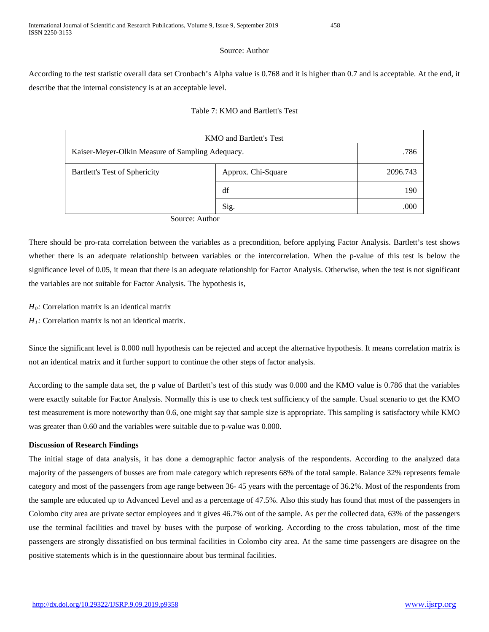## Source: Author

According to the test statistic overall data set Cronbach's Alpha value is 0.768 and it is higher than 0.7 and is acceptable. At the end, it describe that the internal consistency is at an acceptable level.

# Table 7: KMO and Bartlett's Test

| <b>KMO</b> and Bartlett's Test                   |                    |          |
|--------------------------------------------------|--------------------|----------|
| Kaiser-Meyer-Olkin Measure of Sampling Adequacy. |                    | .786     |
| Bartlett's Test of Sphericity                    | Approx. Chi-Square | 2096.743 |
|                                                  | df                 | 190      |
|                                                  | Sig.               | .000     |

Source: Author

There should be pro-rata correlation between the variables as a precondition, before applying Factor Analysis. Bartlett's test shows whether there is an adequate relationship between variables or the intercorrelation. When the p-value of this test is below the significance level of 0.05, it mean that there is an adequate relationship for Factor Analysis. Otherwise, when the test is not significant the variables are not suitable for Factor Analysis. The hypothesis is,

- *H0:* Correlation matrix is an identical matrix
- *H<sub>1</sub>*: Correlation matrix is not an identical matrix.

Since the significant level is 0.000 null hypothesis can be rejected and accept the alternative hypothesis. It means correlation matrix is not an identical matrix and it further support to continue the other steps of factor analysis.

According to the sample data set, the p value of Bartlett's test of this study was 0.000 and the KMO value is 0.786 that the variables were exactly suitable for Factor Analysis. Normally this is use to check test sufficiency of the sample. Usual scenario to get the KMO test measurement is more noteworthy than 0.6, one might say that sample size is appropriate. This sampling is satisfactory while KMO was greater than 0.60 and the variables were suitable due to p-value was 0.000.

# **Discussion of Research Findings**

The initial stage of data analysis, it has done a demographic factor analysis of the respondents. According to the analyzed data majority of the passengers of busses are from male category which represents 68% of the total sample. Balance 32% represents female category and most of the passengers from age range between 36- 45 years with the percentage of 36.2%. Most of the respondents from the sample are educated up to Advanced Level and as a percentage of 47.5%. Also this study has found that most of the passengers in Colombo city area are private sector employees and it gives 46.7% out of the sample. As per the collected data, 63% of the passengers use the terminal facilities and travel by buses with the purpose of working. According to the cross tabulation, most of the time passengers are strongly dissatisfied on bus terminal facilities in Colombo city area. At the same time passengers are disagree on the positive statements which is in the questionnaire about bus terminal facilities.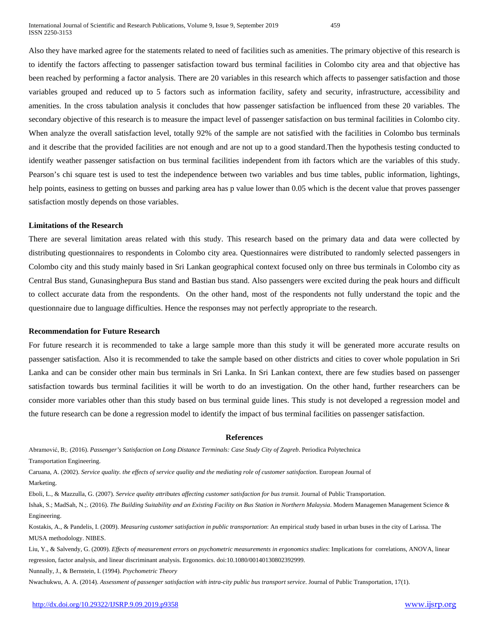Also they have marked agree for the statements related to need of facilities such as amenities. The primary objective of this research is to identify the factors affecting to passenger satisfaction toward bus terminal facilities in Colombo city area and that objective has been reached by performing a factor analysis. There are 20 variables in this research which affects to passenger satisfaction and those variables grouped and reduced up to 5 factors such as information facility, safety and security, infrastructure, accessibility and amenities. In the cross tabulation analysis it concludes that how passenger satisfaction be influenced from these 20 variables. The secondary objective of this research is to measure the impact level of passenger satisfaction on bus terminal facilities in Colombo city. When analyze the overall satisfaction level, totally 92% of the sample are not satisfied with the facilities in Colombo bus terminals and it describe that the provided facilities are not enough and are not up to a good standard.Then the hypothesis testing conducted to identify weather passenger satisfaction on bus terminal facilities independent from ith factors which are the variables of this study. Pearson's chi square test is used to test the independence between two variables and bus time tables, public information, lightings, help points, easiness to getting on busses and parking area has p value lower than 0.05 which is the decent value that proves passenger satisfaction mostly depends on those variables.

#### **Limitations of the Research**

There are several limitation areas related with this study. This research based on the primary data and data were collected by distributing questionnaires to respondents in Colombo city area. Questionnaires were distributed to randomly selected passengers in Colombo city and this study mainly based in Sri Lankan geographical context focused only on three bus terminals in Colombo city as Central Bus stand, Gunasinghepura Bus stand and Bastian bus stand. Also passengers were excited during the peak hours and difficult to collect accurate data from the respondents. On the other hand, most of the respondents not fully understand the topic and the questionnaire due to language difficulties. Hence the responses may not perfectly appropriate to the research.

#### **Recommendation for Future Research**

For future research it is recommended to take a large sample more than this study it will be generated more accurate results on passenger satisfaction. Also it is recommended to take the sample based on other districts and cities to cover whole population in Sri Lanka and can be consider other main bus terminals in Sri Lanka. In Sri Lankan context, there are few studies based on passenger satisfaction towards bus terminal facilities it will be worth to do an investigation. On the other hand, further researchers can be consider more variables other than this study based on bus terminal guide lines. This study is not developed a regression model and the future research can be done a regression model to identify the impact of bus terminal facilities on passenger satisfaction.

#### **References**

Abramović, B;. (2016). *Passenger's Satisfaction on Long Distance Terminals: Case Study City of Zagreb*. Periodica Polytechnica Transportation Engineering.

Caruana, A. (2002). *Service quality. the effects of service quality and the mediating role of customer satisfaction*. European Journal of Marketing.

Eboli, L., & Mazzulla, G. (2007). *Service quality attributes affecting customer satisfaction for bus transit*. Journal of Public Transportation.

Ishak, S.; MadSah, N.;. (2016). *The Building Suitability and an Existing Facility on Bus Station in Northern Malaysia*. Modern Managemen Management Science & Engineering.

Kostakis, A., & Pandelis, I. (2009). *Measuring customer satisfaction in public transportation*: An empirical study based in urban buses in the city of Larissa. The MUSA methodology. NIBES.

Liu, Y., & Salvendy, G. (2009). *Effects of measurement errors on psychometric measurements in ergonomics studies*: Implications for correlations, ANOVA, linear regression, factor analysis, and linear discriminant analysis. Ergonomics. doi:10.1080/00140130802392999.

Nunnally, J., & Bernstein, I. (1994). *Psychometric Theory*

Nwachukwu, A. A. (2014). *Assessment of passenger satisfaction with intra-city public bus transport service*. Journal of Public Transportation, 17(1).